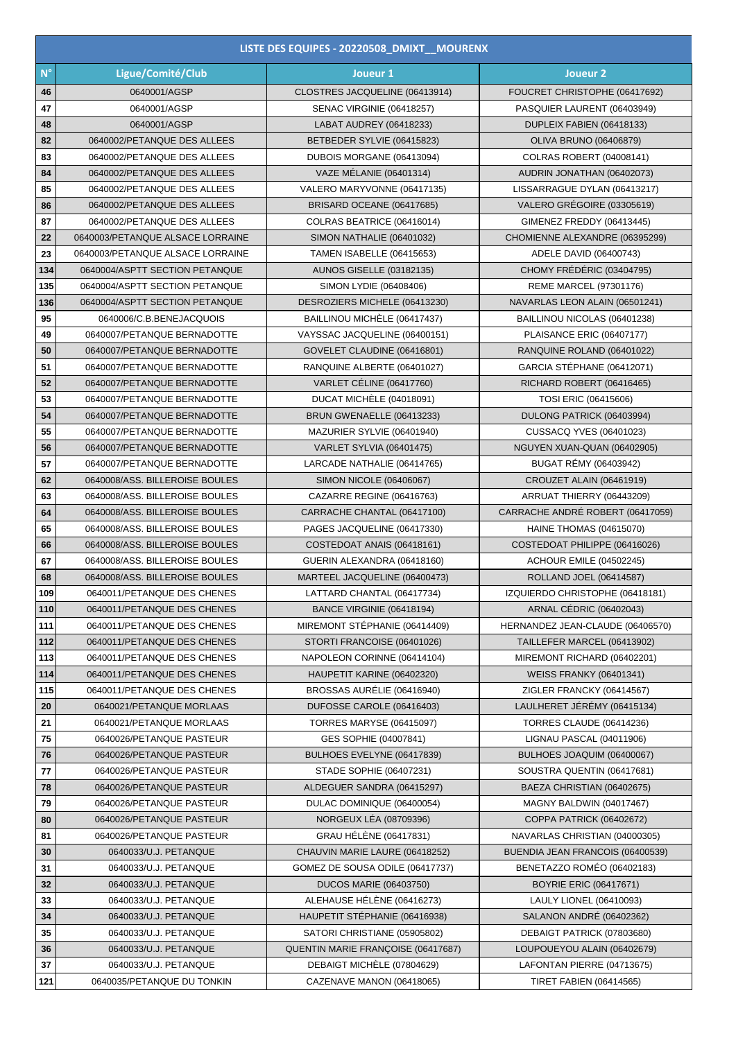|             | LISTE DES EQUIPES - 20220508_DMIXT_MOURENX |                                    |                                  |  |  |  |  |
|-------------|--------------------------------------------|------------------------------------|----------------------------------|--|--|--|--|
| $N^{\circ}$ | Ligue/Comité/Club                          | Joueur 1                           | Joueur <sub>2</sub>              |  |  |  |  |
| 46          | 0640001/AGSP                               | CLOSTRES JACQUELINE (06413914)     | FOUCRET CHRISTOPHE (06417692)    |  |  |  |  |
| 47          | 0640001/AGSP                               | <b>SENAC VIRGINIE (06418257)</b>   | PASQUIER LAURENT (06403949)      |  |  |  |  |
| 48          | 0640001/AGSP                               | LABAT AUDREY (06418233)            | DUPLEIX FABIEN (06418133)        |  |  |  |  |
| 82          | 0640002/PETANQUE DES ALLEES                | BETBEDER SYLVIE (06415823)         | <b>OLIVA BRUNO (06406879)</b>    |  |  |  |  |
| 83          | 0640002/PETANQUE DES ALLEES                | DUBOIS MORGANE (06413094)          | COLRAS ROBERT (04008141)         |  |  |  |  |
| 84          | 0640002/PETANQUE DES ALLEES                | <b>VAZE MÉLANIE (06401314)</b>     | AUDRIN JONATHAN (06402073)       |  |  |  |  |
| 85          | 0640002/PETANQUE DES ALLEES                | VALERO MARYVONNE (06417135)        | LISSARRAGUE DYLAN (06413217)     |  |  |  |  |
| 86          | 0640002/PETANQUE DES ALLEES                | BRISARD OCEANE (06417685)          | VALERO GRÉGOIRE (03305619)       |  |  |  |  |
| 87          | 0640002/PETANQUE DES ALLEES                | COLRAS BEATRICE (06416014)         | GIMENEZ FREDDY (06413445)        |  |  |  |  |
| 22          | 0640003/PETANQUE ALSACE LORRAINE           | SIMON NATHALIE (06401032)          | CHOMIENNE ALEXANDRE (06395299)   |  |  |  |  |
| 23          | 0640003/PETANQUE ALSACE LORRAINE           | TAMEN ISABELLE (06415653)          | ADELE DAVID (06400743)           |  |  |  |  |
| 134         | 0640004/ASPTT SECTION PETANQUE             | <b>AUNOS GISELLE (03182135)</b>    | CHOMY FRÉDÉRIC (03404795)        |  |  |  |  |
| 135         | 0640004/ASPTT SECTION PETANQUE             | SIMON LYDIE (06408406)             | REME MARCEL (97301176)           |  |  |  |  |
| 136         | 0640004/ASPTT SECTION PETANQUE             | DESROZIERS MICHELE (06413230)      | NAVARLAS LEON ALAIN (06501241)   |  |  |  |  |
| 95          | 0640006/C.B.BENEJACQUOIS                   | BAILLINOU MICHÈLE (06417437)       | BAILLINOU NICOLAS (06401238)     |  |  |  |  |
| 49          | 0640007/PETANQUE BERNADOTTE                | VAYSSAC JACQUELINE (06400151)      | PLAISANCE ERIC (06407177)        |  |  |  |  |
| 50          | 0640007/PETANQUE BERNADOTTE                | GOVELET CLAUDINE (06416801)        | RANQUINE ROLAND (06401022)       |  |  |  |  |
| 51          | 0640007/PETANQUE BERNADOTTE                | RANQUINE ALBERTE (06401027)        | GARCIA STÉPHANE (06412071)       |  |  |  |  |
| 52          | 0640007/PETANQUE BERNADOTTE                | VARLET CÉLINE (06417760)           | RICHARD ROBERT (06416465)        |  |  |  |  |
| 53          | 0640007/PETANQUE BERNADOTTE                | DUCAT MICHÈLE (04018091)           | TOSI ERIC (06415606)             |  |  |  |  |
| 54          | 0640007/PETANQUE BERNADOTTE                | BRUN GWENAELLE (06413233)          | DULONG PATRICK (06403994)        |  |  |  |  |
| 55          | 0640007/PETANQUE BERNADOTTE                | MAZURIER SYLVIE (06401940)         | CUSSACQ YVES (06401023)          |  |  |  |  |
| 56          | 0640007/PETANQUE BERNADOTTE                | VARLET SYLVIA (06401475)           | NGUYEN XUAN-QUAN (06402905)      |  |  |  |  |
| 57          | 0640007/PETANQUE BERNADOTTE                | LARCADE NATHALIE (06414765)        | <b>BUGAT RÉMY (06403942)</b>     |  |  |  |  |
| 62          | 0640008/ASS. BILLEROISE BOULES             | SIMON NICOLE (06406067)            | CROUZET ALAIN (06461919)         |  |  |  |  |
| 63          | 0640008/ASS. BILLEROISE BOULES             | CAZARRE REGINE (06416763)          | ARRUAT THIERRY (06443209)        |  |  |  |  |
| 64          | 0640008/ASS. BILLEROISE BOULES             | CARRACHE CHANTAL (06417100)        | CARRACHE ANDRÉ ROBERT (06417059) |  |  |  |  |
| 65          | 0640008/ASS. BILLEROISE BOULES             | PAGES JACQUELINE (06417330)        | <b>HAINE THOMAS (04615070)</b>   |  |  |  |  |
| 66          | 0640008/ASS, BILLEROISE BOULES             | COSTEDOAT ANAIS (06418161)         | COSTEDOAT PHILIPPE (06416026)    |  |  |  |  |
| 67          | 0640008/ASS, BILLEROISE BOULES             | GUERIN ALEXANDRA (06418160)        | <b>ACHOUR EMILE (04502245)</b>   |  |  |  |  |
| 68          | 0640008/ASS. BILLEROISE BOULES             | MARTEEL JACQUELINE (06400473)      | ROLLAND JOEL (06414587)          |  |  |  |  |
| 109         | 0640011/PETANQUE DES CHENES                | LATTARD CHANTAL (06417734)         | IZQUIERDO CHRISTOPHE (06418181)  |  |  |  |  |
| 110         | 0640011/PETANQUE DES CHENES                | <b>BANCE VIRGINIE (06418194)</b>   | <b>ARNAL CÉDRIC (06402043)</b>   |  |  |  |  |
| 111         | 0640011/PETANQUE DES CHENES                | MIREMONT STÉPHANIE (06414409)      | HERNANDEZ JEAN-CLAUDE (06406570) |  |  |  |  |
| 112         | 0640011/PETANQUE DES CHENES                | STORTI FRANCOISE (06401026)        | TAILLEFER MARCEL (06413902)      |  |  |  |  |
| 113         | 0640011/PETANQUE DES CHENES                | NAPOLEON CORINNE (06414104)        | MIREMONT RICHARD (06402201)      |  |  |  |  |
| 114         | 0640011/PETANQUE DES CHENES                | HAUPETIT KARINE (06402320)         | <b>WEISS FRANKY (06401341)</b>   |  |  |  |  |
| 115         | 0640011/PETANQUE DES CHENES                | BROSSAS AURÉLIE (06416940)         | ZIGLER FRANCKY (06414567)        |  |  |  |  |
| 20          | 0640021/PETANQUE MORLAAS                   | DUFOSSE CAROLE (06416403)          | LAULHERET JÉRÉMY (06415134)      |  |  |  |  |
| 21          | 0640021/PETANQUE MORLAAS                   | <b>TORRES MARYSE (06415097)</b>    | <b>TORRES CLAUDE (06414236)</b>  |  |  |  |  |
| 75          | 0640026/PETANQUE PASTEUR                   | GES SOPHIE (04007841)              | LIGNAU PASCAL (04011906)         |  |  |  |  |
| 76          | 0640026/PETANQUE PASTEUR                   | BULHOES EVELYNE (06417839)         | BULHOES JOAQUIM (06400067)       |  |  |  |  |
| 77          | 0640026/PETANQUE PASTEUR                   | STADE SOPHIE (06407231)            | SOUSTRA QUENTIN (06417681)       |  |  |  |  |
| 78          | 0640026/PETANQUE PASTEUR                   | ALDEGUER SANDRA (06415297)         | BAEZA CHRISTIAN (06402675)       |  |  |  |  |
| 79          | 0640026/PETANQUE PASTEUR                   | DULAC DOMINIQUE (06400054)         | MAGNY BALDWIN (04017467)         |  |  |  |  |
| 80          | 0640026/PETANQUE PASTEUR                   | NORGEUX LÉA (08709396)             | <b>COPPA PATRICK (06402672)</b>  |  |  |  |  |
| 81          | 0640026/PETANQUE PASTEUR                   | <b>GRAU HÉLÈNE (06417831)</b>      | NAVARLAS CHRISTIAN (04000305)    |  |  |  |  |
| 30          | 0640033/U.J. PETANQUE                      | CHAUVIN MARIE LAURE (06418252)     | BUENDIA JEAN FRANCOIS (06400539) |  |  |  |  |
| 31          | 0640033/U.J. PETANQUE                      | GOMEZ DE SOUSA ODILE (06417737)    | BENETAZZO ROMÉO (06402183)       |  |  |  |  |
| 32          | 0640033/U.J. PETANQUE                      | <b>DUCOS MARIE (06403750)</b>      | <b>BOYRIE ERIC (06417671)</b>    |  |  |  |  |
| 33          | 0640033/U.J. PETANQUE                      | ALEHAUSE HÉLÈNE (06416273)         | LAULY LIONEL (06410093)          |  |  |  |  |
| 34          | 0640033/U.J. PETANQUE                      | HAUPETIT STÉPHANIE (06416938)      | SALANON ANDRÉ (06402362)         |  |  |  |  |
| 35          | 0640033/U.J. PETANQUE                      | SATORI CHRISTIANE (05905802)       | DEBAIGT PATRICK (07803680)       |  |  |  |  |
| 36          | 0640033/U.J. PETANQUE                      | QUENTIN MARIE FRANÇOISE (06417687) | LOUPOUEYOU ALAIN (06402679)      |  |  |  |  |
| 37          | 0640033/U.J. PETANQUE                      | DEBAIGT MICHELE (07804629)         | LAFONTAN PIERRE (04713675)       |  |  |  |  |
| 121         | 0640035/PETANQUE DU TONKIN                 | CAZENAVE MANON (06418065)          | <b>TIRET FABIEN (06414565)</b>   |  |  |  |  |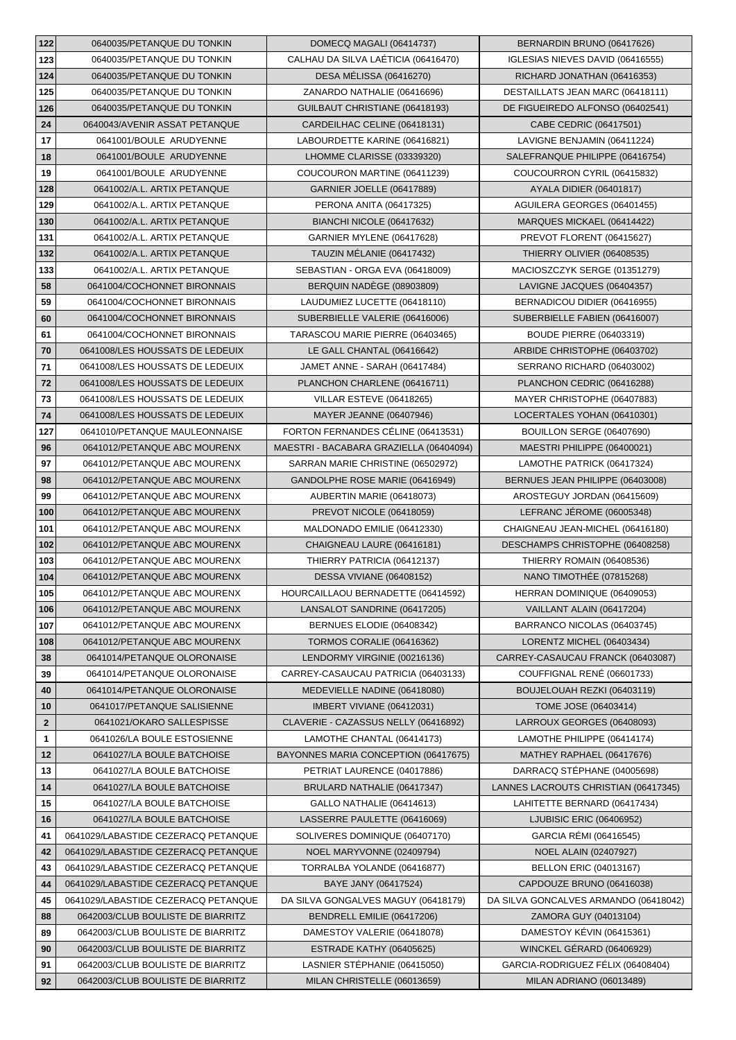| 122          | 0640035/PETANQUE DU TONKIN          | DOMECQ MAGALI (06414737)                | BERNARDIN BRUNO (06417626)                            |
|--------------|-------------------------------------|-----------------------------------------|-------------------------------------------------------|
| 123          | 0640035/PETANQUE DU TONKIN          | CALHAU DA SILVA LAÉTICIA (06416470)     | IGLESIAS NIEVES DAVID (06416555)                      |
| 124          | 0640035/PETANQUE DU TONKIN          | DESA MÉLISSA (06416270)                 | RICHARD JONATHAN (06416353)                           |
| 125          | 0640035/PETANQUE DU TONKIN          | ZANARDO NATHALIE (06416696)             | DESTAILLATS JEAN MARC (06418111)                      |
| 126          | 0640035/PETANQUE DU TONKIN          | GUILBAUT CHRISTIANE (06418193)          | DE FIGUEIREDO ALFONSO (06402541)                      |
| 24           | 0640043/AVENIR ASSAT PETANQUE       | CARDEILHAC CELINE (06418131)            | CABE CEDRIC (06417501)                                |
| 17           | 0641001/BOULE ARUDYENNE             | LABOURDETTE KARINE (06416821)           | LAVIGNE BENJAMIN (06411224)                           |
| 18           | 0641001/BOULE ARUDYENNE             | LHOMME CLARISSE (03339320)              | SALEFRANQUE PHILIPPE (06416754)                       |
| 19           | 0641001/BOULE ARUDYENNE             | COUCOURON MARTINE (06411239)            | COUCOURRON CYRIL (06415832)                           |
| 128          | 0641002/A.L. ARTIX PETANQUE         | <b>GARNIER JOELLE (06417889)</b>        | <b>AYALA DIDIER (06401817)</b>                        |
| 129          | 0641002/A.L. ARTIX PETANQUE         | PERONA ANITA (06417325)                 | AGUILERA GEORGES (06401455)                           |
| 130          | 0641002/A.L. ARTIX PETANQUE         | BIANCHI NICOLE (06417632)               | MARQUES MICKAEL (06414422)                            |
| 131          | 0641002/A.L. ARTIX PETANQUE         | GARNIER MYLENE (06417628)               | PREVOT FLORENT (06415627)                             |
| 132          | 0641002/A.L. ARTIX PETANQUE         | TAUZIN MÉLANIE (06417432)               | THIERRY OLIVIER (06408535)                            |
| 133          | 0641002/A.L. ARTIX PETANQUE         | SEBASTIAN - ORGA EVA (06418009)         | MACIOSZCZYK SERGE (01351279)                          |
| 58           | 0641004/COCHONNET BIRONNAIS         | BERQUIN NADÈGE (08903809)               | LAVIGNE JACQUES (06404357)                            |
| 59           | 0641004/COCHONNET BIRONNAIS         | LAUDUMIEZ LUCETTE (06418110)            | BERNADICOU DIDIER (06416955)                          |
| 60           | 0641004/COCHONNET BIRONNAIS         | SUBERBIELLE VALERIE (06416006)          | SUBERBIELLE FABIEN (06416007)                         |
| 61           | 0641004/COCHONNET BIRONNAIS         | TARASCOU MARIE PIERRE (06403465)        | <b>BOUDE PIERRE (06403319)</b>                        |
| 70           | 0641008/LES HOUSSATS DE LEDEUIX     | LE GALL CHANTAL (06416642)              | ARBIDE CHRISTOPHE (06403702)                          |
| 71           | 0641008/LES HOUSSATS DE LEDEUIX     | JAMET ANNE - SARAH (06417484)           | SERRANO RICHARD (06403002)                            |
| 72           | 0641008/LES HOUSSATS DE LEDEUIX     | PLANCHON CHARLENE (06416711)            | PLANCHON CEDRIC (06416288)                            |
| 73           | 0641008/LES HOUSSATS DE LEDEUIX     | VILLAR ESTEVE (06418265)                | MAYER CHRISTOPHE (06407883)                           |
| 74           | 0641008/LES HOUSSATS DE LEDEUIX     | <b>MAYER JEANNE (06407946)</b>          | LOCERTALES YOHAN (06410301)                           |
| 127          | 0641010/PETANQUE MAULEONNAISE       | FORTON FERNANDES CÉLINE (06413531)      | BOUILLON SERGE (06407690)                             |
| 96           | 0641012/PETANQUE ABC MOURENX        | MAESTRI - BACABARA GRAZIELLA (06404094) | MAESTRI PHILIPPE (06400021)                           |
| 97           | 0641012/PETANQUE ABC MOURENX        | SARRAN MARIE CHRISTINE (06502972)       | LAMOTHE PATRICK (06417324)                            |
| 98           | 0641012/PETANQUE ABC MOURENX        | GANDOLPHE ROSE MARIE (06416949)         | BERNUES JEAN PHILIPPE (06403008)                      |
| 99           | 0641012/PETANQUE ABC MOURENX        | AUBERTIN MARIE (06418073)               | AROSTEGUY JORDAN (06415609)                           |
| 100          | 0641012/PETANQUE ABC MOURENX        | <b>PREVOT NICOLE (06418059)</b>         | LEFRANC JEROME (06005348)                             |
| 101          | 0641012/PETANQUE ABC MOURENX        | MALDONADO EMILIE (06412330)             | CHAIGNEAU JEAN-MICHEL (06416180)                      |
| 102          | 0641012/PETANQUE ABC MOURENX        | CHAIGNEAU LAURE (06416181)              | DESCHAMPS CHRISTOPHE (06408258)                       |
|              | 0641012/PETANQUE ABC MOURENX        |                                         |                                                       |
| 103          |                                     | THIERRY PATRICIA (06412137)             | THIERRY ROMAIN (06408536)<br>NANO TIMOTHÉE (07815268) |
| 104          | 0641012/PETANQUE ABC MOURENX        | <b>DESSA VIVIANE (06408152)</b>         |                                                       |
| 105          | 0641012/PETANQUE ABC MOURENX        | HOURCAILLAOU BERNADETTE (06414592)      | HERRAN DOMINIQUE (06409053)                           |
| 106          | 0641012/PETANQUE ABC MOURENX        | LANSALOT SANDRINE (06417205)            | VAILLANT ALAIN (06417204)                             |
| 107          | 0641012/PETANQUE ABC MOURENX        | BERNUES ELODIE (06408342)               | BARRANCO NICOLAS (06403745)                           |
| 108          | 0641012/PETANQUE ABC MOURENX        | TORMOS CORALIE (06416362)               | LORENTZ MICHEL (06403434)                             |
| 38           | 0641014/PETANQUE OLORONAISE         | LENDORMY VIRGINIE (00216136)            | CARREY-CASAUCAU FRANCK (06403087)                     |
| 39           | 0641014/PETANQUE OLORONAISE         | CARREY-CASAUCAU PATRICIA (06403133)     | COUFFIGNAL RENÉ (06601733)                            |
| 40           | 0641014/PETANQUE OLORONAISE         | MEDEVIELLE NADINE (06418080)            | BOUJELOUAH REZKI (06403119)                           |
| 10           | 0641017/PETANQUE SALISIENNE         | IMBERT VIVIANE (06412031)               | TOME JOSE (06403414)                                  |
| $\mathbf{2}$ | 0641021/OKARO SALLESPISSE           | CLAVERIE - CAZASSUS NELLY (06416892)    | LARROUX GEORGES (06408093)                            |
| 1            | 0641026/LA BOULE ESTOSIENNE         | LAMOTHE CHANTAL (06414173)              | LAMOTHE PHILIPPE (06414174)                           |
| 12           | 0641027/LA BOULE BATCHOISE          | BAYONNES MARIA CONCEPTION (06417675)    | MATHEY RAPHAEL (06417676)                             |
| 13           | 0641027/LA BOULE BATCHOISE          | PETRIAT LAURENCE (04017886)             | DARRACQ STEPHANE (04005698)                           |
| 14           | 0641027/LA BOULE BATCHOISE          | BRULARD NATHALIE (06417347)             | LANNES LACROUTS CHRISTIAN (06417345)                  |
| 15           | 0641027/LA BOULE BATCHOISE          | GALLO NATHALIE (06414613)               | LAHITETTE BERNARD (06417434)                          |
| 16           | 0641027/LA BOULE BATCHOISE          | LASSERRE PAULETTE (06416069)            | LJUBISIC ERIC (06406952)                              |
| 41           | 0641029/LABASTIDE CEZERACQ PETANQUE | SOLIVERES DOMINIQUE (06407170)          | GARCIA RÉMI (06416545)                                |
| 42           | 0641029/LABASTIDE CEZERACQ PETANQUE | NOEL MARYVONNE (02409794)               | <b>NOEL ALAIN (02407927)</b>                          |
| 43           | 0641029/LABASTIDE CEZERACQ PETANQUE | TORRALBA YOLANDE (06416877)             | BELLON ERIC (04013167)                                |
| 44           | 0641029/LABASTIDE CEZERACQ PETANQUE | BAYE JANY (06417524)                    | CAPDOUZE BRUNO (06416038)                             |
| 45           | 0641029/LABASTIDE CEZERACQ PETANQUE | DA SILVA GONGALVES MAGUY (06418179)     | DA SILVA GONCALVES ARMANDO (06418042)                 |
| 88           | 0642003/CLUB BOULISTE DE BIARRITZ   | BENDRELL EMILIE (06417206)              | ZAMORA GUY (04013104)                                 |
| 89           | 0642003/CLUB BOULISTE DE BIARRITZ   | DAMESTOY VALERIE (06418078)             | DAMESTOY KÉVIN (06415361)                             |
| 90           | 0642003/CLUB BOULISTE DE BIARRITZ   | ESTRADE KATHY (06405625)                | WINCKEL GÉRARD (06406929)                             |
| 91           | 0642003/CLUB BOULISTE DE BIARRITZ   | LASNIER STÉPHANIE (06415050)            | GARCIA-RODRIGUEZ FÉLIX (06408404)                     |
| 92           | 0642003/CLUB BOULISTE DE BIARRITZ   | MILAN CHRISTELLE (06013659)             | MILAN ADRIANO (06013489)                              |